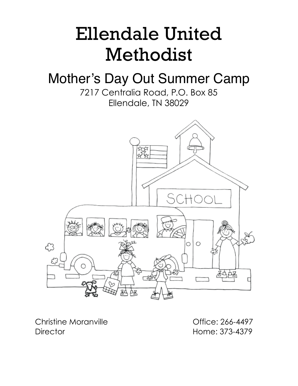# Ellendale United Methodist

# Mother's Day Out Summer Camp

7217 Centralia Road, P.O. Box 85 Ellendale, TN 38029



Christine Moranville **Christian Contract Contract Contract Contract Contract Contract Contract Contract Contract Contract Contract Contract Contract Contract Contract Contract Contract Contract Contract Contract Contract C** Director Home: 373-4379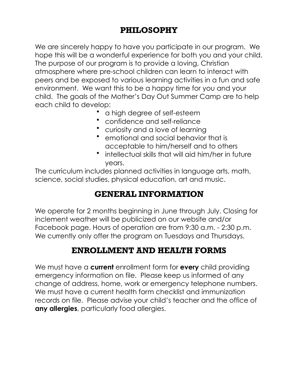# **PHILOSOPHY**

We are sincerely happy to have you participate in our program. We hope this will be a wonderful experience for both you and your child. The purpose of our program is to provide a loving, Christian atmosphere where pre-school children can learn to interact with peers and be exposed to various learning activities in a fun and safe environment. We want this to be a happy time for you and your child. The goals of the Mother's Day Out Summer Camp are to help each child to develop:

- a high degree of self-esteem
- confidence and self-reliance
- curiosity and a love of learning
- emotional and social behavior that is acceptable to him/herself and to others
- intellectual skills that will aid him/her in future years.

The curriculum includes planned activities in language arts, math, science, social studies, physical education, art and music.

# **GENERAL INFORMATION**

We operate for 2 months beginning in June through July. Closing for inclement weather will be publicized on our website and/or Facebook page. Hours of operation are from 9:30 a.m. - 2:30 p.m. We currently only offer the program on Tuesdays and Thursdays.

# **ENROLLMENT AND HEALTH FORMS**

We must have a **current** enrollment form for **every** child providing emergency information on file. Please keep us informed of any change of address, home, work or emergency telephone numbers. We must have a current health form checklist and immunization records on file. Please advise your child's teacher and the office of **any allergies**, particularly food allergies.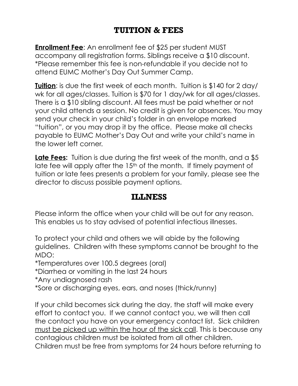# **TUITION & FEES**

**Enrollment Fee**: An enrollment fee of \$25 per student MUST accompany all registration forms. Siblings receive a \$10 discount. \*Please remember this fee is non-refundable if you decide not to attend EUMC Mother's Day Out Summer Camp.

**Tuition:** is due the first week of each month. Tuition is \$140 for 2 day/ wk for all ages/classes. Tuition is \$70 for 1 day/wk for all ages/classes. There is a \$10 sibling discount. All fees must be paid whether or not your child attends a session. No credit is given for absences. You may send your check in your child's folder in an envelope marked "tuition", or you may drop it by the office. Please make all checks payable to EUMC Mother's Day Out and write your child's name in the lower left corner.

**Late Fees:** Tuition is due during the first week of the month, and a \$5 late fee will apply after the 15<sup>th</sup> of the month. If timely payment of tuition or late fees presents a problem for your family, please see the director to discuss possible payment options.

#### **ILLNESS**

Please inform the office when your child will be out for any reason. This enables us to stay advised of potential infectious illnesses.

To protect your child and others we will abide by the following guidelines. Children with these symptoms cannot be brought to the MDO:

\*Temperatures over 100.5 degrees (oral)

\*Diarrhea or vomiting in the last 24 hours

\*Any undiagnosed rash

\*Sore or discharging eyes, ears, and noses (thick/runny)

If your child becomes sick during the day, the staff will make every effort to contact you. If we cannot contact you, we will then call the contact you have on your emergency contact list. Sick children must be picked up within the hour of the sick call. This is because any contagious children must be isolated from all other children. Children must be free from symptoms for 24 hours before returning to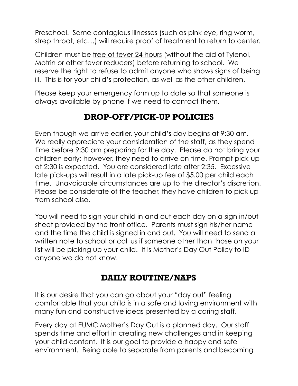Preschool. Some contagious illnesses (such as pink eye, ring worm, strep throat, etc…) will require proof of treatment to return to center.

Children must be free of fever 24 hours (without the aid of Tylenol, Motrin or other fever reducers) before returning to school. We reserve the right to refuse to admit anyone who shows signs of being ill. This is for your child's protection, as well as the other children.

Please keep your emergency form up to date so that someone is always available by phone if we need to contact them.

# **DROP-OFF/PICK-UP POLICIES**

Even though we arrive earlier, your child's day begins at 9:30 am. We really appreciate your consideration of the staff, as they spend time before 9:30 am preparing for the day. Please do not bring your children early; however, they need to arrive on time. Prompt pick-up at 2:30 is expected.You are considered late after 2:35.Excessive late pick-ups will result in a late pick-up fee of \$5.00 per child each time. Unavoidable circumstances are up to the director's discretion. Please be considerate of the teacher, they have children to pick up from school also.

You will need to sign your child in and out each day on a sign in/out sheet provided by the front office. Parents must sign his/her name and the time the child is signed in and out. You will need to send a written note to school or call us if someone other than those on your list will be picking up your child. It is Mother's Day Out Policy to ID anyone we do not know.

### **DAILY ROUTINE/NAPS**

It is our desire that you can go about your "day out" feeling comfortable that your child is in a safe and loving environment with many fun and constructive ideas presented by a caring staff.

Every day at EUMC Mother's Day Out is a planned day. Our staff spends time and effort in creating new challenges and in keeping your child content. It is our goal to provide a happy and safe environment. Being able to separate from parents and becoming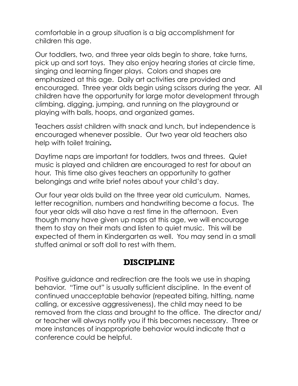comfortable in a group situation is a big accomplishment for children this age.

Our toddlers, two, and three year olds begin to share, take turns, pick up and sort toys. They also enjoy hearing stories at circle time, singing and learning finger plays. Colors and shapes are emphasized at this age. Daily art activities are provided and encouraged. Three year olds begin using scissors during the year. All children have the opportunity for large motor development through climbing, digging, jumping, and running on the playground or playing with balls, hoops, and organized games.

Teachers assist children with snack and lunch, but independence is encouraged whenever possible. Our two year old teachers also help with toilet training**.** 

Daytime naps are important for toddlers, twos and threes. Quiet music is played and children are encouraged to rest for about an hour. This time also gives teachers an opportunity to gather belongings and write brief notes about your child's day.

Our four year olds build on the three year old curriculum. Names, letter recognition, numbers and handwriting become a focus. The four year olds will also have a rest time in the afternoon. Even though many have given up naps at this age, we will encourage them to stay on their mats and listen to quiet music. This will be expected of them in Kindergarten as well. You may send in a small stuffed animal or soft doll to rest with them.

#### **DISCIPLINE**

Positive guidance and redirection are the tools we use in shaping behavior. "Time out" is usually sufficient discipline. In the event of continued unacceptable behavior (repeated biting, hitting, name calling, or excessive aggressiveness), the child may need to be removed from the class and brought to the office. The director and/ or teacher will always notify you if this becomes necessary. Three or more instances of inappropriate behavior would indicate that a conference could be helpful.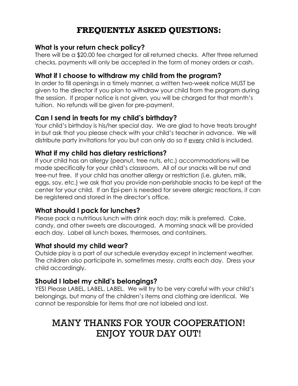# **FREQUENTLY ASKED QUESTIONS:**

#### **What is your return check policy?**

There will be a \$20.00 fee charged for all returned checks. After three returned checks, payments will only be accepted in the form of money orders or cash.

#### **What if I choose to withdraw my child from the program?**

In order to fill openings in a timely manner, a written two-week notice MUST be given to the director if you plan to withdraw your child from the program during the session. If proper notice is not given, you will be charged for that month's tuition. No refunds will be given for pre-payment.

#### **Can I send in treats for my child's birthday?**

Your child's birthday is his/her special day. We are glad to have treats brought in but ask that you please check with your child's teacher in advance. We will distribute party invitations for you but can only do so if every child is included.

#### **What if my child has dietary restrictions?**

If your child has an allergy (peanut, tree nuts, etc.) accommodations will be made specifically for your child's classroom. All of our snacks will be nut and tree-nut free. If your child has another allergy or restriction (i.e. gluten, milk, eggs, soy, etc.) we ask that you provide non-perishable snacks to be kept at the center for your child. If an Epi-pen is needed for severe allergic reactions, it can be registered and stored in the director's office.

#### **What should I pack for lunches?**

Please pack a nutritious lunch with drink each day; milk is preferred. Cake, candy, and other sweets are discouraged. A morning snack will be provided each day. Label all lunch boxes, thermoses, and containers.

#### **What should my child wear?**

Outside play is a part of our schedule everyday except in inclement weather. The children also participate in, sometimes messy, crafts each day. Dress your child accordingly.

#### **Should I label my child's belongings?**

YES! Please LABEL, LABEL, LABEL. We will try to be very careful with your child's belongings, but many of the children's items and clothing are identical. We cannot be responsible for items that are not labeled and lost.

# MANY THANKS FOR YOUR COOPERATION! ENJOY YOUR DAY OUT!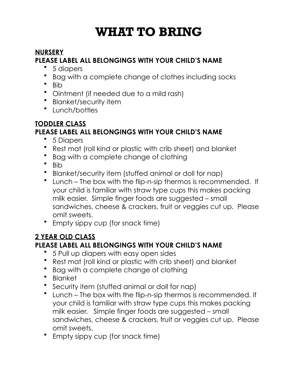# **WHAT TO BRING**

#### **NURSERY PLEASE LABEL ALL BELONGINGS WITH YOUR CHILD'S NAME**

- 5 diapers
- Bag with a complete change of clothes including socks
- Bib
- Ointment (if needed due to a mild rash)
- Blanket/security item
- Lunch/bottles

#### **TODDLER CLASS PLEASE LABEL ALL BELONGINGS WITH YOUR CHILD'S NAME**

- 5 Diapers
- Rest mat (roll kind or plastic with crib sheet) and blanket
- Bag with a complete change of clothing
- Bib
- Blanket/security item (stuffed animal or doll for nap)
- Lunch The box with the flip-n-sip thermos is recommended. If your child is familiar with straw type cups this makes packing milk easier. Simple finger foods are suggested – small sandwiches, cheese & crackers, fruit or veggies cut up. Please omit sweets.
- Empty sippy cup (for snack time)

#### **2 YEAR OLD CLASS**

#### **PLEASE LABEL ALL BELONGINGS WITH YOUR CHILD'S NAME**

- 5 Pull up diapers with easy open sides
- Rest mat (roll kind or plastic with crib sheet) and blanket
- Bag with a complete change of clothing
- Blanket
- Security item (stuffed animal or doll for nap)
- Lunch The box with the flip-n-sip thermos is recommended. If your child is familiar with straw type cups this makes packing milk easier. Simple finger foods are suggested – small sandwiches, cheese & crackers, fruit or veggies cut up. Please omit sweets.
- Empty sippy cup (for snack time)